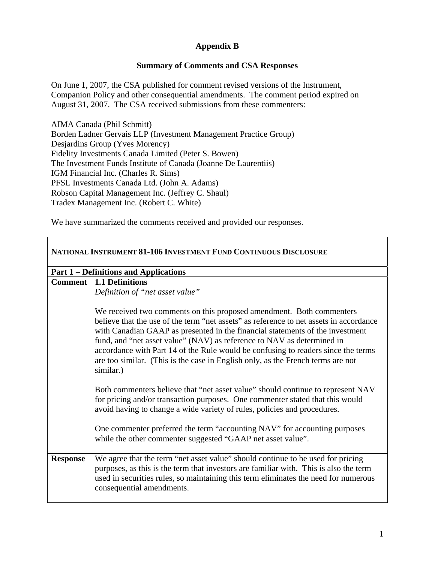## **Appendix B**

## **Summary of Comments and CSA Responses**

On June 1, 2007, the CSA published for comment revised versions of the Instrument, Companion Policy and other consequential amendments. The comment period expired on August 31, 2007. The CSA received submissions from these commenters:

AIMA Canada (Phil Schmitt) Borden Ladner Gervais LLP (Investment Management Practice Group) Desjardins Group (Yves Morency) Fidelity Investments Canada Limited (Peter S. Bowen) The Investment Funds Institute of Canada (Joanne De Laurentiis) IGM Financial Inc. (Charles R. Sims) PFSL Investments Canada Ltd. (John A. Adams) Robson Capital Management Inc. (Jeffrey C. Shaul) Tradex Management Inc. (Robert C. White)

We have summarized the comments received and provided our responses.

| <b>NATIONAL INSTRUMENT 81-106 INVESTMENT FUND CONTINUOUS DISCLOSURE</b> |                                                                                                                                                                                                                                                                                                                                                                                                                                                                                                                |  |
|-------------------------------------------------------------------------|----------------------------------------------------------------------------------------------------------------------------------------------------------------------------------------------------------------------------------------------------------------------------------------------------------------------------------------------------------------------------------------------------------------------------------------------------------------------------------------------------------------|--|
|                                                                         | <b>Part 1 – Definitions and Applications</b>                                                                                                                                                                                                                                                                                                                                                                                                                                                                   |  |
|                                                                         | <b>Comment</b>   1.1 Definitions                                                                                                                                                                                                                                                                                                                                                                                                                                                                               |  |
|                                                                         | Definition of "net asset value"                                                                                                                                                                                                                                                                                                                                                                                                                                                                                |  |
|                                                                         | We received two comments on this proposed amendment. Both commenters<br>believe that the use of the term "net assets" as reference to net assets in accordance<br>with Canadian GAAP as presented in the financial statements of the investment<br>fund, and "net asset value" (NAV) as reference to NAV as determined in<br>accordance with Part 14 of the Rule would be confusing to readers since the terms<br>are too similar. (This is the case in English only, as the French terms are not<br>similar.) |  |
|                                                                         | Both commenters believe that "net asset value" should continue to represent NAV<br>for pricing and/or transaction purposes. One commenter stated that this would<br>avoid having to change a wide variety of rules, policies and procedures.                                                                                                                                                                                                                                                                   |  |
|                                                                         | One commenter preferred the term "accounting NAV" for accounting purposes<br>while the other commenter suggested "GAAP net asset value".                                                                                                                                                                                                                                                                                                                                                                       |  |
| <b>Response</b>                                                         | We agree that the term "net asset value" should continue to be used for pricing<br>purposes, as this is the term that investors are familiar with. This is also the term<br>used in securities rules, so maintaining this term eliminates the need for numerous<br>consequential amendments.                                                                                                                                                                                                                   |  |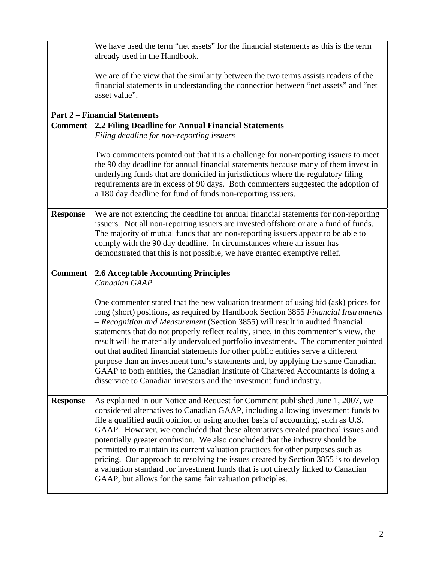|                 | We have used the term "net assets" for the financial statements as this is the term<br>already used in the Handbook.                                                                                                                                                                                                                                                                                                                                                                                                                                                                                                                                                                                                                                                                                                                                          |
|-----------------|---------------------------------------------------------------------------------------------------------------------------------------------------------------------------------------------------------------------------------------------------------------------------------------------------------------------------------------------------------------------------------------------------------------------------------------------------------------------------------------------------------------------------------------------------------------------------------------------------------------------------------------------------------------------------------------------------------------------------------------------------------------------------------------------------------------------------------------------------------------|
|                 |                                                                                                                                                                                                                                                                                                                                                                                                                                                                                                                                                                                                                                                                                                                                                                                                                                                               |
|                 | We are of the view that the similarity between the two terms assists readers of the                                                                                                                                                                                                                                                                                                                                                                                                                                                                                                                                                                                                                                                                                                                                                                           |
|                 | financial statements in understanding the connection between "net assets" and "net<br>asset value".                                                                                                                                                                                                                                                                                                                                                                                                                                                                                                                                                                                                                                                                                                                                                           |
|                 |                                                                                                                                                                                                                                                                                                                                                                                                                                                                                                                                                                                                                                                                                                                                                                                                                                                               |
|                 | <b>Part 2 – Financial Statements</b>                                                                                                                                                                                                                                                                                                                                                                                                                                                                                                                                                                                                                                                                                                                                                                                                                          |
| <b>Comment</b>  | 2.2 Filing Deadline for Annual Financial Statements                                                                                                                                                                                                                                                                                                                                                                                                                                                                                                                                                                                                                                                                                                                                                                                                           |
|                 | Filing deadline for non-reporting issuers                                                                                                                                                                                                                                                                                                                                                                                                                                                                                                                                                                                                                                                                                                                                                                                                                     |
|                 | Two commenters pointed out that it is a challenge for non-reporting issuers to meet<br>the 90 day deadline for annual financial statements because many of them invest in<br>underlying funds that are domiciled in jurisdictions where the regulatory filing<br>requirements are in excess of 90 days. Both commenters suggested the adoption of<br>a 180 day deadline for fund of funds non-reporting issuers.                                                                                                                                                                                                                                                                                                                                                                                                                                              |
| <b>Response</b> | We are not extending the deadline for annual financial statements for non-reporting<br>issuers. Not all non-reporting issuers are invested offshore or are a fund of funds.<br>The majority of mutual funds that are non-reporting issuers appear to be able to<br>comply with the 90 day deadline. In circumstances where an issuer has<br>demonstrated that this is not possible, we have granted exemptive relief.                                                                                                                                                                                                                                                                                                                                                                                                                                         |
| <b>Comment</b>  | <b>2.6 Acceptable Accounting Principles</b>                                                                                                                                                                                                                                                                                                                                                                                                                                                                                                                                                                                                                                                                                                                                                                                                                   |
|                 | Canadian GAAP                                                                                                                                                                                                                                                                                                                                                                                                                                                                                                                                                                                                                                                                                                                                                                                                                                                 |
|                 |                                                                                                                                                                                                                                                                                                                                                                                                                                                                                                                                                                                                                                                                                                                                                                                                                                                               |
| <b>Response</b> | One commenter stated that the new valuation treatment of using bid (ask) prices for<br>long (short) positions, as required by Handbook Section 3855 Financial Instruments<br>- Recognition and Measurement (Section 3855) will result in audited financial<br>statements that do not properly reflect reality, since, in this commenter's view, the<br>result will be materially undervalued portfolio investments. The commenter pointed<br>out that audited financial statements for other public entities serve a different<br>purpose than an investment fund's statements and, by applying the same Canadian<br>GAAP to both entities, the Canadian Institute of Chartered Accountants is doing a<br>disservice to Canadian investors and the investment fund industry.<br>As explained in our Notice and Request for Comment published June 1, 2007, we |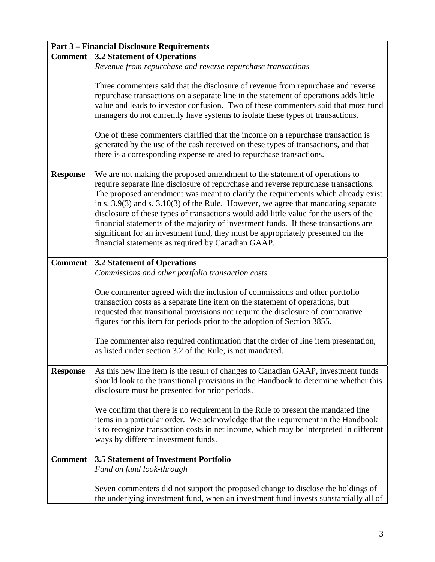|                 | <b>Part 3 – Financial Disclosure Requirements</b>                                                                                                                                                                                                                                                                                                                                                                                                                                                                                                                                                                                                                        |
|-----------------|--------------------------------------------------------------------------------------------------------------------------------------------------------------------------------------------------------------------------------------------------------------------------------------------------------------------------------------------------------------------------------------------------------------------------------------------------------------------------------------------------------------------------------------------------------------------------------------------------------------------------------------------------------------------------|
| <b>Comment</b>  | <b>3.2 Statement of Operations</b>                                                                                                                                                                                                                                                                                                                                                                                                                                                                                                                                                                                                                                       |
|                 | Revenue from repurchase and reverse repurchase transactions                                                                                                                                                                                                                                                                                                                                                                                                                                                                                                                                                                                                              |
|                 | Three commenters said that the disclosure of revenue from repurchase and reverse<br>repurchase transactions on a separate line in the statement of operations adds little<br>value and leads to investor confusion. Two of these commenters said that most fund<br>managers do not currently have systems to isolate these types of transactions.                                                                                                                                                                                                                                                                                                                        |
|                 | One of these commenters clarified that the income on a repurchase transaction is<br>generated by the use of the cash received on these types of transactions, and that<br>there is a corresponding expense related to repurchase transactions.                                                                                                                                                                                                                                                                                                                                                                                                                           |
| <b>Response</b> | We are not making the proposed amendment to the statement of operations to<br>require separate line disclosure of repurchase and reverse repurchase transactions.<br>The proposed amendment was meant to clarify the requirements which already exist<br>in s. $3.9(3)$ and s. $3.10(3)$ of the Rule. However, we agree that mandating separate<br>disclosure of these types of transactions would add little value for the users of the<br>financial statements of the majority of investment funds. If these transactions are<br>significant for an investment fund, they must be appropriately presented on the<br>financial statements as required by Canadian GAAP. |
| <b>Comment</b>  | <b>3.2 Statement of Operations</b><br>Commissions and other portfolio transaction costs                                                                                                                                                                                                                                                                                                                                                                                                                                                                                                                                                                                  |
|                 | One commenter agreed with the inclusion of commissions and other portfolio<br>transaction costs as a separate line item on the statement of operations, but<br>requested that transitional provisions not require the disclosure of comparative<br>figures for this item for periods prior to the adoption of Section 3855.                                                                                                                                                                                                                                                                                                                                              |
|                 | The commenter also required confirmation that the order of line item presentation,<br>as listed under section 3.2 of the Rule, is not mandated.                                                                                                                                                                                                                                                                                                                                                                                                                                                                                                                          |
| <b>Response</b> | As this new line item is the result of changes to Canadian GAAP, investment funds<br>should look to the transitional provisions in the Handbook to determine whether this<br>disclosure must be presented for prior periods.                                                                                                                                                                                                                                                                                                                                                                                                                                             |
|                 | We confirm that there is no requirement in the Rule to present the mandated line<br>items in a particular order. We acknowledge that the requirement in the Handbook<br>is to recognize transaction costs in net income, which may be interpreted in different<br>ways by different investment funds.                                                                                                                                                                                                                                                                                                                                                                    |
| <b>Comment</b>  | <b>3.5 Statement of Investment Portfolio</b><br>Fund on fund look-through                                                                                                                                                                                                                                                                                                                                                                                                                                                                                                                                                                                                |
|                 | Seven commenters did not support the proposed change to disclose the holdings of<br>the underlying investment fund, when an investment fund invests substantially all of                                                                                                                                                                                                                                                                                                                                                                                                                                                                                                 |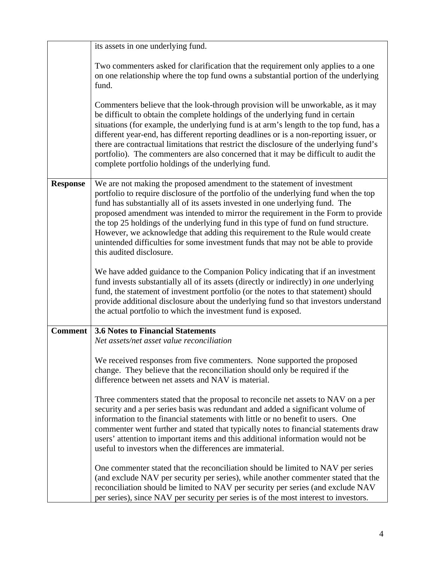|                 | its assets in one underlying fund.                                                                                                                                                                                                                                                                                                                                                                                                                                                                                                                                                                                           |
|-----------------|------------------------------------------------------------------------------------------------------------------------------------------------------------------------------------------------------------------------------------------------------------------------------------------------------------------------------------------------------------------------------------------------------------------------------------------------------------------------------------------------------------------------------------------------------------------------------------------------------------------------------|
|                 | Two commenters asked for clarification that the requirement only applies to a one<br>on one relationship where the top fund owns a substantial portion of the underlying<br>fund.                                                                                                                                                                                                                                                                                                                                                                                                                                            |
|                 | Commenters believe that the look-through provision will be unworkable, as it may<br>be difficult to obtain the complete holdings of the underlying fund in certain<br>situations (for example, the underlying fund is at arm's length to the top fund, has a<br>different year-end, has different reporting deadlines or is a non-reporting issuer, or<br>there are contractual limitations that restrict the disclosure of the underlying fund's<br>portfolio). The commenters are also concerned that it may be difficult to audit the<br>complete portfolio holdings of the underlying fund.                              |
| <b>Response</b> | We are not making the proposed amendment to the statement of investment<br>portfolio to require disclosure of the portfolio of the underlying fund when the top<br>fund has substantially all of its assets invested in one underlying fund. The<br>proposed amendment was intended to mirror the requirement in the Form to provide<br>the top 25 holdings of the underlying fund in this type of fund on fund structure.<br>However, we acknowledge that adding this requirement to the Rule would create<br>unintended difficulties for some investment funds that may not be able to provide<br>this audited disclosure. |
|                 | We have added guidance to the Companion Policy indicating that if an investment<br>fund invests substantially all of its assets (directly or indirectly) in one underlying<br>fund, the statement of investment portfolio (or the notes to that statement) should<br>provide additional disclosure about the underlying fund so that investors understand<br>the actual portfolio to which the investment fund is exposed.                                                                                                                                                                                                   |
| <b>Comment</b>  | <b>3.6 Notes to Financial Statements</b><br>Net assets/net asset value reconciliation                                                                                                                                                                                                                                                                                                                                                                                                                                                                                                                                        |
|                 | We received responses from five commenters. None supported the proposed<br>change. They believe that the reconciliation should only be required if the<br>difference between net assets and NAV is material.                                                                                                                                                                                                                                                                                                                                                                                                                 |
|                 | Three commenters stated that the proposal to reconcile net assets to NAV on a per<br>security and a per series basis was redundant and added a significant volume of<br>information to the financial statements with little or no benefit to users. One<br>commenter went further and stated that typically notes to financial statements draw<br>users' attention to important items and this additional information would not be<br>useful to investors when the differences are immaterial.                                                                                                                               |
|                 | One commenter stated that the reconciliation should be limited to NAV per series<br>(and exclude NAV per security per series), while another commenter stated that the<br>reconciliation should be limited to NAV per security per series (and exclude NAV<br>per series), since NAV per security per series is of the most interest to investors.                                                                                                                                                                                                                                                                           |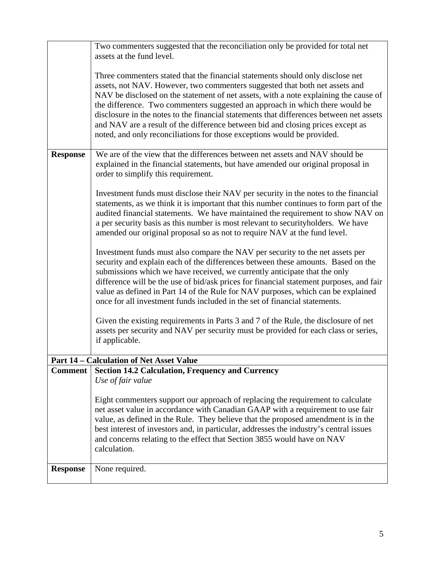|                 | Two commenters suggested that the reconciliation only be provided for total net<br>assets at the fund level.                                                                                                                                                                                                                                                                                                                                                                                                                                                                                   |
|-----------------|------------------------------------------------------------------------------------------------------------------------------------------------------------------------------------------------------------------------------------------------------------------------------------------------------------------------------------------------------------------------------------------------------------------------------------------------------------------------------------------------------------------------------------------------------------------------------------------------|
|                 | Three commenters stated that the financial statements should only disclose net<br>assets, not NAV. However, two commenters suggested that both net assets and<br>NAV be disclosed on the statement of net assets, with a note explaining the cause of<br>the difference. Two commenters suggested an approach in which there would be<br>disclosure in the notes to the financial statements that differences between net assets<br>and NAV are a result of the difference between bid and closing prices except as<br>noted, and only reconciliations for those exceptions would be provided. |
| <b>Response</b> | We are of the view that the differences between net assets and NAV should be<br>explained in the financial statements, but have amended our original proposal in<br>order to simplify this requirement.                                                                                                                                                                                                                                                                                                                                                                                        |
|                 | Investment funds must disclose their NAV per security in the notes to the financial<br>statements, as we think it is important that this number continues to form part of the<br>audited financial statements. We have maintained the requirement to show NAV on<br>a per security basis as this number is most relevant to security holders. We have<br>amended our original proposal so as not to require NAV at the fund level.                                                                                                                                                             |
|                 | Investment funds must also compare the NAV per security to the net assets per<br>security and explain each of the differences between these amounts. Based on the<br>submissions which we have received, we currently anticipate that the only<br>difference will be the use of bid/ask prices for financial statement purposes, and fair<br>value as defined in Part 14 of the Rule for NAV purposes, which can be explained<br>once for all investment funds included in the set of financial statements.                                                                                    |
|                 | Given the existing requirements in Parts 3 and 7 of the Rule, the disclosure of net<br>assets per security and NAV per security must be provided for each class or series,<br>if applicable.                                                                                                                                                                                                                                                                                                                                                                                                   |
|                 | <b>Part 14 - Calculation of Net Asset Value</b>                                                                                                                                                                                                                                                                                                                                                                                                                                                                                                                                                |
| <b>Comment</b>  | <b>Section 14.2 Calculation, Frequency and Currency</b>                                                                                                                                                                                                                                                                                                                                                                                                                                                                                                                                        |
|                 | Use of fair value                                                                                                                                                                                                                                                                                                                                                                                                                                                                                                                                                                              |
|                 | Eight commenters support our approach of replacing the requirement to calculate<br>net asset value in accordance with Canadian GAAP with a requirement to use fair<br>value, as defined in the Rule. They believe that the proposed amendment is in the<br>best interest of investors and, in particular, addresses the industry's central issues<br>and concerns relating to the effect that Section 3855 would have on NAV<br>calculation.                                                                                                                                                   |
| <b>Response</b> | None required.                                                                                                                                                                                                                                                                                                                                                                                                                                                                                                                                                                                 |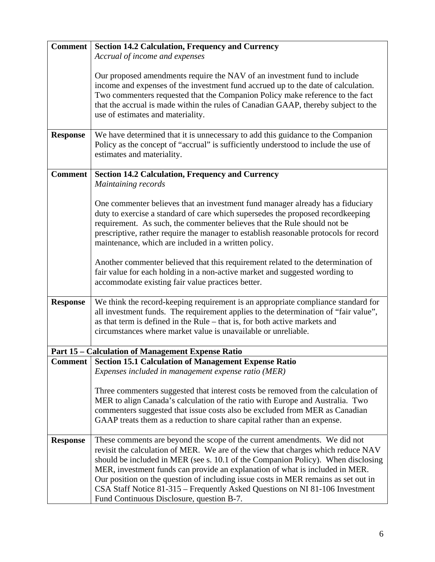| <b>Comment</b>  | <b>Section 14.2 Calculation, Frequency and Currency</b>                               |
|-----------------|---------------------------------------------------------------------------------------|
|                 | Accrual of income and expenses                                                        |
|                 |                                                                                       |
|                 | Our proposed amendments require the NAV of an investment fund to include              |
|                 | income and expenses of the investment fund accrued up to the date of calculation.     |
|                 | Two commenters requested that the Companion Policy make reference to the fact         |
|                 | that the accrual is made within the rules of Canadian GAAP, thereby subject to the    |
|                 | use of estimates and materiality.                                                     |
|                 |                                                                                       |
| <b>Response</b> | We have determined that it is unnecessary to add this guidance to the Companion       |
|                 | Policy as the concept of "accrual" is sufficiently understood to include the use of   |
|                 | estimates and materiality.                                                            |
|                 |                                                                                       |
| <b>Comment</b>  | <b>Section 14.2 Calculation, Frequency and Currency</b>                               |
|                 | Maintaining records                                                                   |
|                 |                                                                                       |
|                 | One commenter believes that an investment fund manager already has a fiduciary        |
|                 | duty to exercise a standard of care which supersedes the proposed recordkeeping       |
|                 | requirement. As such, the commenter believes that the Rule should not be              |
|                 | prescriptive, rather require the manager to establish reasonable protocols for record |
|                 | maintenance, which are included in a written policy.                                  |
|                 |                                                                                       |
|                 | Another commenter believed that this requirement related to the determination of      |
|                 | fair value for each holding in a non-active market and suggested wording to           |
|                 | accommodate existing fair value practices better.                                     |
|                 |                                                                                       |
| <b>Response</b> | We think the record-keeping requirement is an appropriate compliance standard for     |
|                 | all investment funds. The requirement applies to the determination of "fair value",   |
|                 | as that term is defined in the Rule – that is, for both active markets and            |
|                 | circumstances where market value is unavailable or unreliable.                        |
|                 |                                                                                       |
|                 | <b>Part 15 - Calculation of Management Expense Ratio</b>                              |
| <b>Comment</b>  | <b>Section 15.1 Calculation of Management Expense Ratio</b>                           |
|                 | Expenses included in management expense ratio (MER)                                   |
|                 |                                                                                       |
|                 | Three commenters suggested that interest costs be removed from the calculation of     |
|                 | MER to align Canada's calculation of the ratio with Europe and Australia. Two         |
|                 | commenters suggested that issue costs also be excluded from MER as Canadian           |
|                 | GAAP treats them as a reduction to share capital rather than an expense.              |
| <b>Response</b> | These comments are beyond the scope of the current amendments. We did not             |
|                 | revisit the calculation of MER. We are of the view that charges which reduce NAV      |
|                 | should be included in MER (see s. 10.1 of the Companion Policy). When disclosing      |
|                 | MER, investment funds can provide an explanation of what is included in MER.          |
|                 | Our position on the question of including issue costs in MER remains as set out in    |
|                 | CSA Staff Notice 81-315 – Frequently Asked Questions on NI 81-106 Investment          |
|                 | Fund Continuous Disclosure, question B-7.                                             |
|                 |                                                                                       |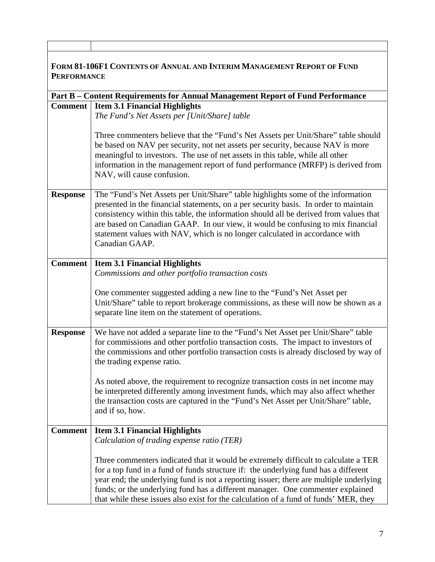| <b>FORM 81-106F1 CONTENTS OF ANNUAL AND INTERIM MANAGEMENT REPORT OF FUND</b><br><b>PERFORMANCE</b> |                                                                                                                                                                                                                                                                                                                                                                                                                                                      |
|-----------------------------------------------------------------------------------------------------|------------------------------------------------------------------------------------------------------------------------------------------------------------------------------------------------------------------------------------------------------------------------------------------------------------------------------------------------------------------------------------------------------------------------------------------------------|
|                                                                                                     | Part B - Content Requirements for Annual Management Report of Fund Performance                                                                                                                                                                                                                                                                                                                                                                       |
| <b>Comment</b>                                                                                      | <b>Item 3.1 Financial Highlights</b>                                                                                                                                                                                                                                                                                                                                                                                                                 |
|                                                                                                     | The Fund's Net Assets per [Unit/Share] table                                                                                                                                                                                                                                                                                                                                                                                                         |
|                                                                                                     | Three commenters believe that the "Fund's Net Assets per Unit/Share" table should<br>be based on NAV per security, not net assets per security, because NAV is more<br>meaningful to investors. The use of net assets in this table, while all other<br>information in the management report of fund performance (MRFP) is derived from<br>NAV, will cause confusion.                                                                                |
| <b>Response</b>                                                                                     | The "Fund's Net Assets per Unit/Share" table highlights some of the information<br>presented in the financial statements, on a per security basis. In order to maintain<br>consistency within this table, the information should all be derived from values that<br>are based on Canadian GAAP. In our view, it would be confusing to mix financial<br>statement values with NAV, which is no longer calculated in accordance with<br>Canadian GAAP. |
| <b>Comment</b>                                                                                      | <b>Item 3.1 Financial Highlights</b><br>Commissions and other portfolio transaction costs                                                                                                                                                                                                                                                                                                                                                            |
|                                                                                                     | One commenter suggested adding a new line to the "Fund's Net Asset per<br>Unit/Share" table to report brokerage commissions, as these will now be shown as a<br>separate line item on the statement of operations.                                                                                                                                                                                                                                   |
| <b>Response</b>                                                                                     | We have not added a separate line to the "Fund's Net Asset per Unit/Share" table<br>for commissions and other portfolio transaction costs. The impact to investors of<br>the commissions and other portfolio transaction costs is already disclosed by way of<br>the trading expense ratio.                                                                                                                                                          |
|                                                                                                     | As noted above, the requirement to recognize transaction costs in net income may<br>be interpreted differently among investment funds, which may also affect whether<br>the transaction costs are captured in the "Fund's Net Asset per Unit/Share" table,<br>and if so, how.                                                                                                                                                                        |
| <b>Comment</b>                                                                                      | <b>Item 3.1 Financial Highlights</b>                                                                                                                                                                                                                                                                                                                                                                                                                 |
|                                                                                                     | Calculation of trading expense ratio (TER)                                                                                                                                                                                                                                                                                                                                                                                                           |
|                                                                                                     | Three commenters indicated that it would be extremely difficult to calculate a TER<br>for a top fund in a fund of funds structure if: the underlying fund has a different<br>year end; the underlying fund is not a reporting issuer; there are multiple underlying<br>funds; or the underlying fund has a different manager. One commenter explained<br>that while these issues also exist for the calculation of a fund of funds' MER, they        |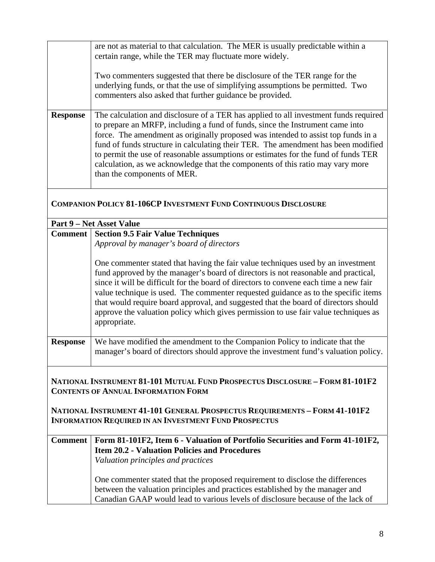|                 | are not as material to that calculation. The MER is usually predictable within a      |
|-----------------|---------------------------------------------------------------------------------------|
|                 | certain range, while the TER may fluctuate more widely.                               |
|                 |                                                                                       |
|                 | Two commenters suggested that there be disclosure of the TER range for the            |
|                 |                                                                                       |
|                 | underlying funds, or that the use of simplifying assumptions be permitted. Two        |
|                 | commenters also asked that further guidance be provided.                              |
|                 |                                                                                       |
| <b>Response</b> | The calculation and disclosure of a TER has applied to all investment funds required  |
|                 |                                                                                       |
|                 | to prepare an MRFP, including a fund of funds, since the Instrument came into         |
|                 | force. The amendment as originally proposed was intended to assist top funds in a     |
|                 | fund of funds structure in calculating their TER. The amendment has been modified     |
|                 |                                                                                       |
|                 | to permit the use of reasonable assumptions or estimates for the fund of funds TER    |
|                 | calculation, as we acknowledge that the components of this ratio may vary more        |
|                 | than the components of MER.                                                           |
|                 |                                                                                       |
|                 |                                                                                       |
|                 |                                                                                       |
|                 | <b>COMPANION POLICY 81-106CP INVESTMENT FUND CONTINUOUS DISCLOSURE</b>                |
|                 |                                                                                       |
|                 | <b>Part 9 – Net Asset Value</b>                                                       |
|                 | <b>Comment   Section 9.5 Fair Value Techniques</b>                                    |
|                 | Approval by manager's board of directors                                              |
|                 |                                                                                       |
|                 |                                                                                       |
|                 | One commenter stated that having the fair value techniques used by an investment      |
|                 | fund approved by the manager's board of directors is not reasonable and practical,    |
|                 | since it will be difficult for the board of directors to convene each time a new fair |
|                 |                                                                                       |
|                 | value technique is used. The commenter requested guidance as to the specific items    |
|                 | that would require board approval, and suggested that the board of directors should   |
|                 | approve the valuation policy which gives permission to use fair value techniques as   |
|                 |                                                                                       |
|                 | appropriate.                                                                          |
|                 |                                                                                       |
| <b>Response</b> | We have modified the amendment to the Companion Policy to indicate that the           |
|                 | manager's board of directors should approve the investment fund's valuation policy.   |
|                 |                                                                                       |
|                 |                                                                                       |
|                 | NATIONAL INSTRUMENT 81-101 MUTUAL FUND PROSPECTUS DISCLOSURE - FORM 81-101F2          |
|                 |                                                                                       |
|                 | <b>CONTENTS OF ANNUAL INFORMATION FORM</b>                                            |
|                 |                                                                                       |
|                 | NATIONAL INSTRUMENT 41-101 GENERAL PROSPECTUS REQUIREMENTS - FORM 41-101F2            |
|                 | <b>INFORMATION REQUIRED IN AN INVESTMENT FUND PROSPECTUS</b>                          |
|                 |                                                                                       |
| <b>Comment</b>  | Form 81-101F2, Item 6 - Valuation of Portfolio Securities and Form 41-101F2,          |
|                 |                                                                                       |
|                 | <b>Item 20.2 - Valuation Policies and Procedures</b>                                  |
|                 | Valuation principles and practices                                                    |
|                 |                                                                                       |
|                 | One commenter stated that the proposed requirement to disclose the differences        |
|                 |                                                                                       |
|                 | between the valuation principles and practices established by the manager and         |
|                 | Canadian GAAP would lead to various levels of disclosure because of the lack of       |